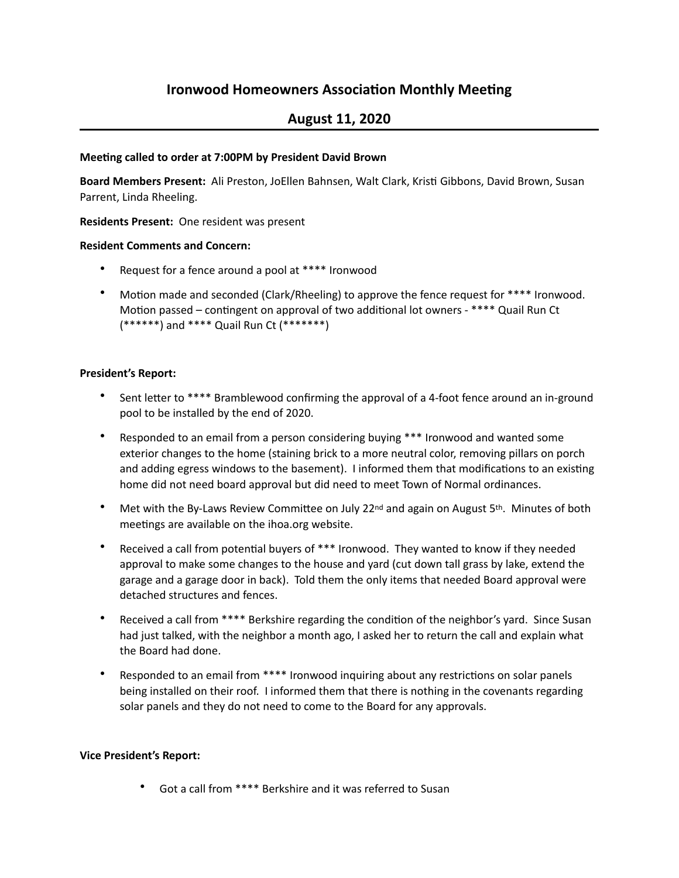# **Ironwood Homeowners Association Monthly Meeting**

## **August 11, 2020**

## **Meeting called to order at 7:00PM by President David Brown**

Board Members Present: Ali Preston, JoEllen Bahnsen, Walt Clark, Kristi Gibbons, David Brown, Susan Parrent, Linda Rheeling.

## **Residents Present:** One resident was present

## **Resident Comments and Concern:**

- Request for a fence around a pool at \*\*\*\* Ironwood
- Motion made and seconded (Clark/Rheeling) to approve the fence request for \*\*\*\* Ironwood. Motion passed – contingent on approval of two additional lot owners - \*\*\*\* Quail Run Ct  $(******)$  and  $****$  Quail Run Ct  $(*******)$

## **President's Report:**

- Sent letter to \*\*\*\* Bramblewood confirming the approval of a 4-foot fence around an in-ground pool to be installed by the end of 2020.
- Responded to an email from a person considering buying \*\*\* Ironwood and wanted some exterior changes to the home (staining brick to a more neutral color, removing pillars on porch and adding egress windows to the basement). I informed them that modifications to an existing home did not need board approval but did need to meet Town of Normal ordinances.
- Met with the By-Laws Review Committee on July 22<sup>nd</sup> and again on August  $5<sup>th</sup>$ . Minutes of both meetings are available on the ihoa.org website.
- Received a call from potential buyers of \*\*\* Ironwood. They wanted to know if they needed approval to make some changes to the house and yard (cut down tall grass by lake, extend the garage and a garage door in back). Told them the only items that needed Board approval were detached structures and fences.
- Received a call from \*\*\*\* Berkshire regarding the condition of the neighbor's yard. Since Susan had just talked, with the neighbor a month ago, I asked her to return the call and explain what the Board had done.
- Responded to an email from \*\*\*\* Ironwood inquiring about any restrictions on solar panels being installed on their roof. I informed them that there is nothing in the covenants regarding solar panels and they do not need to come to the Board for any approvals.

#### **Vice President's Report:**

Got a call from \*\*\*\* Berkshire and it was referred to Susan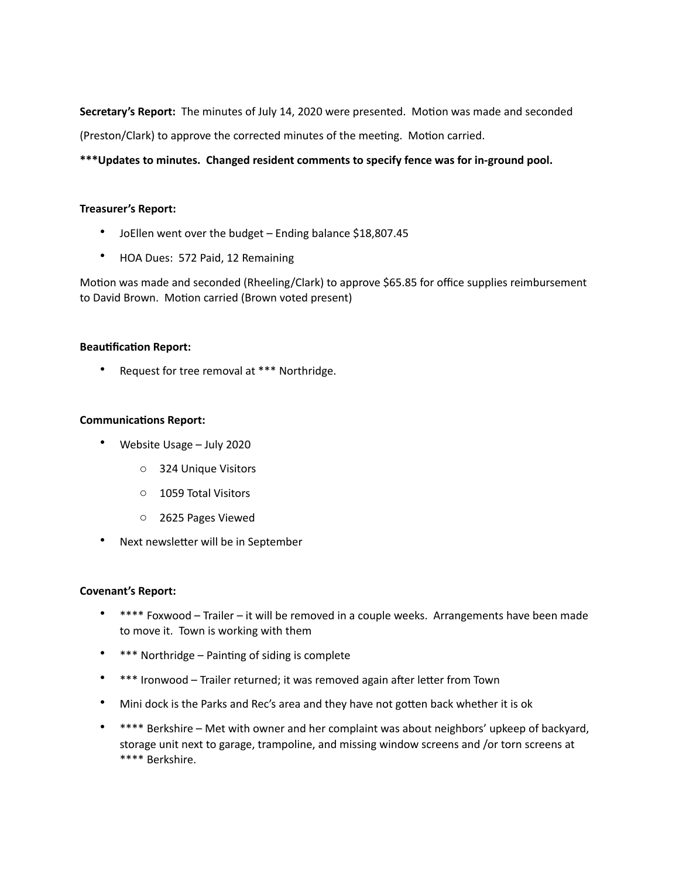**Secretary's Report:** The minutes of July 14, 2020 were presented. Motion was made and seconded (Preston/Clark) to approve the corrected minutes of the meeting. Motion carried.

\*\*\*Updates to minutes. Changed resident comments to specify fence was for in-ground pool.

### **Treasurer's Report:**

- JoEllen went over the budget Ending balance \$18,807.45
- HOA Dues: 572 Paid, 12 Remaining

Motion was made and seconded (Rheeling/Clark) to approve \$65.85 for office supplies reimbursement to David Brown. Motion carried (Brown voted present)

#### **Beautification Report:**

• Request for tree removal at \*\*\* Northridge.

## **Communications Report:**

- Website Usage July 2020
	- o 324 Unique Visitors
	- o 1059 Total Visitors
	- o 2625 Pages Viewed
- Next newsletter will be in September

#### **Covenant's Report:**

- \*\*\*\* Foxwood Trailer it will be removed in a couple weeks. Arrangements have been made to move it. Town is working with them
- \*\*\* Northridge Painting of siding is complete
- \*\*\* Ironwood Trailer returned; it was removed again after letter from Town
- Mini dock is the Parks and Rec's area and they have not gotten back whether it is ok
- \*\*\*\* Berkshire Met with owner and her complaint was about neighbors' upkeep of backyard, storage unit next to garage, trampoline, and missing window screens and /or torn screens at \*\*\*\* Berkshire.